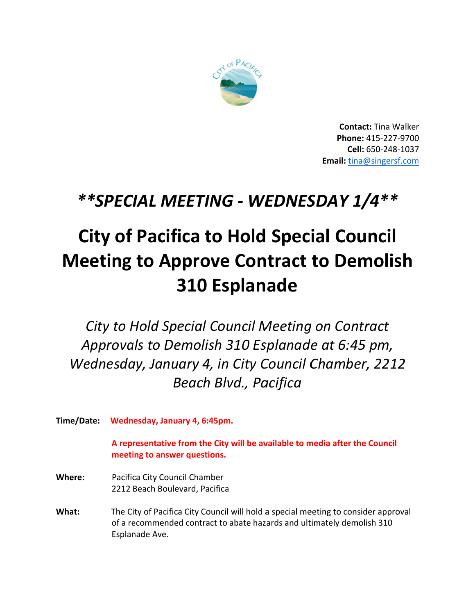

**Contact: Tina Walker** Phone: 415-227-9700 Cell: 650-248-1037 Email: tina@singersf.com

## \*\* SPECIAL MEETING - WEDNESDAY 1/4\*\*

## **City of Pacifica to Hold Special Council Meeting to Approve Contract to Demolish 310 Esplanade**

City to Hold Special Council Meeting on Contract Approvals to Demolish 310 Esplanade at 6:45 pm, Wednesday, January 4, in City Council Chamber, 2212 **Beach Blvd., Pacifica** 

Time/Date: Wednesday, January 4, 6:45pm.

A representative from the City will be available to media after the Council meeting to answer questions.

- Where: Pacifica City Council Chamber 2212 Beach Boulevard, Pacifica
- The City of Pacifica City Council will hold a special meeting to consider approval What: of a recommended contract to abate hazards and ultimately demolish 310 Esplanade Ave.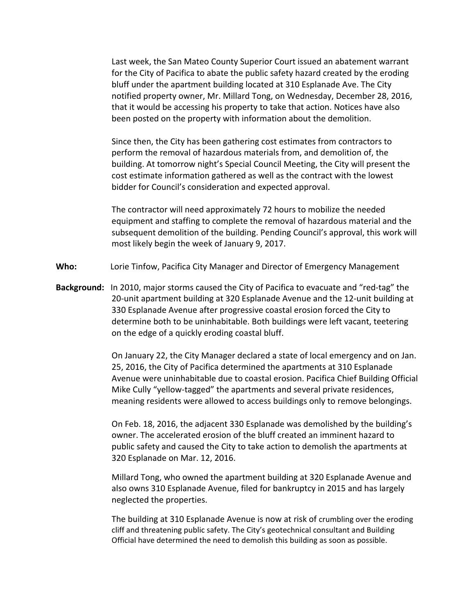Last week, the San Mateo County Superior Court issued an abatement warrant for the City of Pacifica to abate the public safety hazard created by the eroding bluff under the apartment building located at 310 Esplanade Ave. The City notified property owner, Mr. Millard Tong, on Wednesday, December 28, 2016, that it would be accessing his property to take that action. Notices have also been posted on the property with information about the demolition.

 Since then, the City has been gathering cost estimates from contractors to perform the removal of hazardous materials from, and demolition of, the building. At tomorrow night's Special Council Meeting, the City will present the cost estimate information gathered as well as the contract with the lowest bidder for Council's consideration and expected approval.

 The contractor will need approximately 72 hours to mobilize the needed equipment and staffing to complete the removal of hazardous material and the subsequent demolition of the building. Pending Council's approval, this work will most likely begin the week of January 9, 2017.

- **Who:** Lorie Tinfow, Pacifica City Manager and Director of Emergency Management
- **Background:** In 2010, major storms caused the City of Pacifica to evacuate and "red-tag" the 20-unit apartment building at 320 Esplanade Avenue and the 12-unit building at 330 Esplanade Avenue after progressive coastal erosion forced the City to determine both to be uninhabitable. Both buildings were left vacant, teetering on the edge of a quickly eroding coastal bluff.

On January 22, the City Manager declared a state of local emergency and on Jan. 25, 2016, the City of Pacifica determined the apartments at 310 Esplanade Avenue were uninhabitable due to coastal erosion. Pacifica Chief Building Official Mike Cully "yellow-tagged" the apartments and several private residences, meaning residents were allowed to access buildings only to remove belongings.

On Feb. 18, 2016, the adjacent 330 Esplanade was demolished by the building's owner. The accelerated erosion of the bluff created an imminent hazard to public safety and caused the City to take action to demolish the apartments at 320 Esplanade on Mar. 12, 2016.

Millard Tong, who owned the apartment building at 320 Esplanade Avenue and also owns 310 Esplanade Avenue, filed for bankruptcy in 2015 and has largely neglected the properties.

The building at 310 Esplanade Avenue is now at risk of crumbling over the eroding cliff and threatening public safety. The City's geotechnical consultant and Building Official have determined the need to demolish this building as soon as possible.